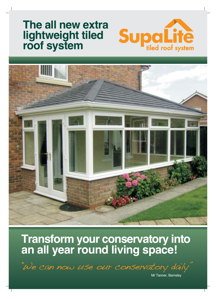# **The all new extra lightweight tiled roof system**





# **Transform your conservatory into an all year round living space!**

"We can now use our conservatory daily"

Mr Tanner, Barnsley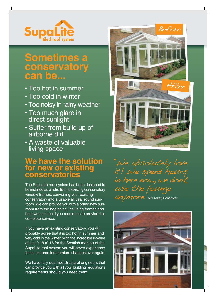

## **Sometimes a conservatory can be...**

- Too hot in summer
- Too cold in winter
- Too noisy in rainy weather
- Too much glare in direct sunlight
- Suffer from build up of airborne dirt
- A waste of valuable living space

### **We have the solution for new or existing conservatories**

The SupaLite roof system has been designed to be installed as a retro fit onto existing conservatory window frames, converting your existing conservatory into a usable all year round sunroom. We can provide you with a brand new sunroom from the beginning, including frames and baseworks should you require us to provide this complete service.

If you have an existing conservatory, you will probably agree that it is too hot in summer and very cold in the winter. With the incredible u-value of just 0.18 (0.15 for the Scottish market) of the SupaLite roof system you will never experience these extreme temperature changes ever again!

We have fully qualified structural engineers that can provide you with all your building regulations requirements should you need them.



"We absolutely love it! We spend hours in here now, we don't use the lounge an/more Mr Frazer, Doncaster

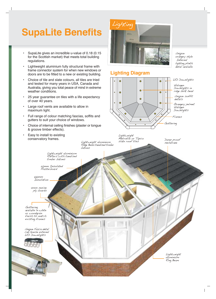# **SupaLite Benefits**

- SupaLite gives an incredible u-value of 0.18 (0.15 for the Scottish market) that meets total building regulations.
- Lightweight aluminium fully structural frame with frame connector system for when new windows or doors are to be fitted to a new or existing building.
- Choice of tile and slate colours, all tiles are tried and tested for many years in USA, Canada and Australia, giving you total peace of mind in extreme weather conditions.
- 25 year guarantee on tiles with a life expectancy of over 40 years.
- Large roof vents are available to allow in maximum light.
- Full range of colour matching fascias, soffits and gutters to suit your choice of windows.
- Choice of internal ceiling finishes (plaster or tongue & groove timber effects).

Lightweight aluminium Rafters with tanalised

• Easy to install to existing conservatory frames.

> 50mm Insulated Plasterboard

timber batons



#### **Lighting Diagram**



Lightweight Metrotile or Tapco Lightweight aluminium slate roof tiles

Ridge Beam tanalised timber

batons

Damp proof membrane

Unique orangery style Internal lighting plinth detail available

Guttering available in white or woodgrain finish to match existing frames

100mm Insulation

12mm marine ply boards

Unique Fascia detail can house external LED Downlights

> Lightweight aluminium Ring Beam